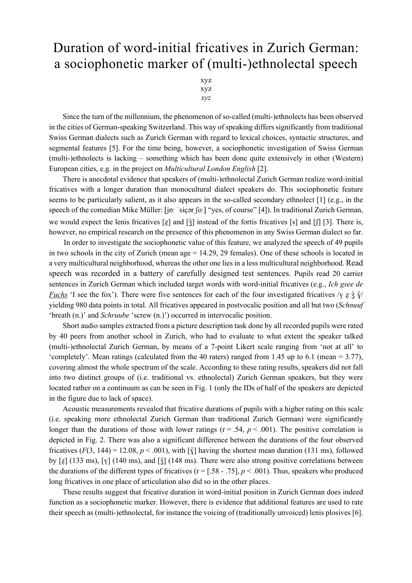## Duration of word-initial fricatives in Zurich German: a sociophonetic marker of (multi-)ethnolectal speech

xyz xyz *xyz*

Since the turn of the millennium, the phenomenon of so-called (multi-)ethnolects has been observed in the cities of German-speaking Switzerland. This way of speaking differs significantly from traditional Swiss German dialects such as Zurich German with regard to lexical choices, syntactic structures, and segmental features [5]. For the time being, however, a sociophonetic investigation of Swiss German (multi-)ethnolects is lacking – something which has been done quite extensively in other (Western) European cities, e.g. in the project on *Multicultural London English* [2].

There is anecdotal evidence that speakers of (multi-)ethnolectal Zurich German realize word-initial fricatives with a longer duration than monocultural dialect speakers do. This sociophonetic feature seems to be particularly salient, as it also appears in the so-called secondary ethnolect [1] (e.g., in the speech of the comedian Mike Müller: [jɒː ˈsiçər ʃoː] "yes, of course" [4]). In traditional Zurich German, we would expect the lenis fricatives [z] and  $\left[\frac{2}{3}\right]$  instead of the fortis fricatives [s] and  $\left[\frac{2}{3}\right]$ . There is, however, no empirical research on the presence of this phenomenon in any Swiss German dialect so far.

In order to investigate the sociophonetic value of this feature, we analyzed the speech of 49 pupils in two schools in the city of Zurich (mean age = 14.29, 29 females). One of these schools is located in a very multicultural neighborhood, whereas the other one lies in a less multicultural neighborhood. Read speech was recorded in a battery of carefully designed test sentences. Pupils read 20 carrier sentences in Zurich German which included target words with word-initial fricatives (e.g., *Ich gsee de Fuchs* 'I see the fox'). There were five sentences for each of the four investigated fricatives  $/\gamma$  z  $\frac{2}{3}$   $\sqrt[3]{}$ yielding 980 data points in total. All fricatives appeared in postvocalic position and all but two (*Schnuuf*  'breath (n.)' and *Schruube* 'screw (n.)') occurred in intervocalic position.

Short audio samples extracted from a picture description task done by all recorded pupils were rated by 40 peers from another school in Zurich, who had to evaluate to what extent the speaker talked (multi-)ethnolectal Zurich German, by means of a 7-point Likert scale ranging from 'not at all' to 'completely'. Mean ratings (calculated from the 40 raters) ranged from 1.45 up to 6.1 (mean = 3.77), covering almost the whole spectrum of the scale. According to these rating results, speakers did not fall into two distinct groups of (i.e. traditional vs. ethnolectal) Zurich German speakers, but they were located rather on a continuum as can be seen in Fig. 1 (only the IDs of half of the speakers are depicted in the figure due to lack of space).

Acoustic measurements revealed that fricative durations of pupils with a higher rating on this scale (i.e. speaking more ethnolectal Zurich German than traditional Zurich German) were significantly longer than the durations of those with lower ratings ( $r = .54$ ,  $p < .001$ ). The positive correlation is depicted in Fig. 2. There was also a significant difference between the durations of the four observed fricatives ( $F(3, 144) = 12.08$ ,  $p < .001$ ), with  $\lceil \hat{y} \rceil$  having the shortest mean duration (131 ms), followed by  $[z]$  (133 ms),  $[v]$  (140 ms), and  $[\frac{3}{2}]$  (148 ms). There were also strong positive correlations between the durations of the different types of fricatives  $(r = 1.58 - 0.75]$ ,  $p < .001$ ). Thus, speakers who produced long fricatives in one place of articulation also did so in the other places.

These results suggest that fricative duration in word-initial position in Zurich German does indeed function as a sociophonetic marker. However, there is evidence that additional features are used to rate their speech as (multi-)ethnolectal, for instance the voicing of (traditionally unvoiced) lenis plosives [6].